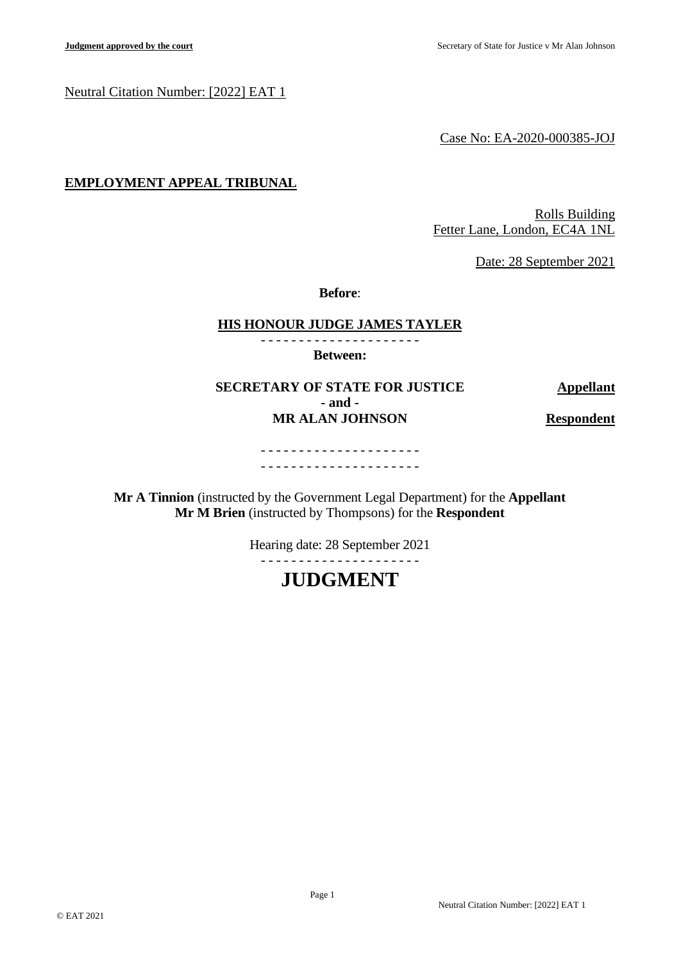## Neutral Citation Number: [2022] EAT 1

Case No: EA-2020-000385-JOJ

# **EMPLOYMENT APPEAL TRIBUNAL**

Rolls Building Fetter Lane, London, EC4A 1NL

Date: 28 September 2021

**Before**:

#### **HIS HONOUR JUDGE JAMES TAYLER**

- - - - - - - - - - - - - - - - - - - - -

**Between:**

**SECRETARY OF STATE FOR JUSTICE Appellant - and - MR ALAN JOHNSON Respondent**

- - - - - - - - - - - - - - - - - - - - - - - - - - - - - - - - - - - - - - - - - -

**Mr A Tinnion** (instructed by the Government Legal Department) for the **Appellant Mr M Brien** (instructed by Thompsons) for the **Respondent**

Hearing date: 28 September 2021

- - - - - - - - - - - - - - - - - - - - -

# **JUDGMENT**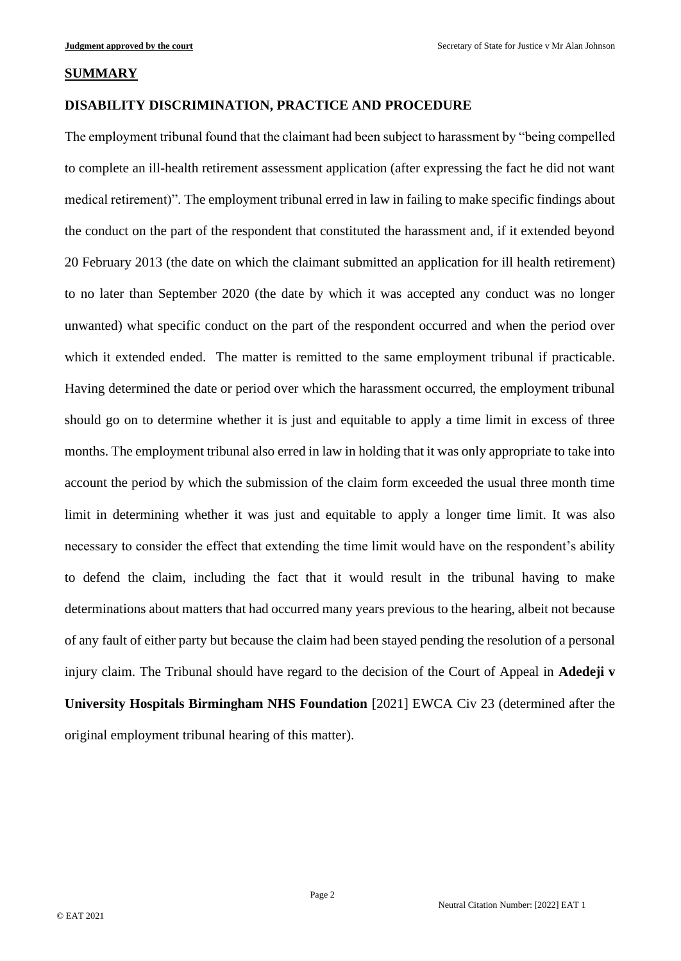#### **SUMMARY**

# **DISABILITY DISCRIMINATION, PRACTICE AND PROCEDURE**

The employment tribunal found that the claimant had been subject to harassment by "being compelled to complete an ill-health retirement assessment application (after expressing the fact he did not want medical retirement)". The employment tribunal erred in law in failing to make specific findings about the conduct on the part of the respondent that constituted the harassment and, if it extended beyond 20 February 2013 (the date on which the claimant submitted an application for ill health retirement) to no later than September 2020 (the date by which it was accepted any conduct was no longer unwanted) what specific conduct on the part of the respondent occurred and when the period over which it extended ended. The matter is remitted to the same employment tribunal if practicable. Having determined the date or period over which the harassment occurred, the employment tribunal should go on to determine whether it is just and equitable to apply a time limit in excess of three months. The employment tribunal also erred in law in holding that it was only appropriate to take into account the period by which the submission of the claim form exceeded the usual three month time limit in determining whether it was just and equitable to apply a longer time limit. It was also necessary to consider the effect that extending the time limit would have on the respondent's ability to defend the claim, including the fact that it would result in the tribunal having to make determinations about matters that had occurred many years previous to the hearing, albeit not because of any fault of either party but because the claim had been stayed pending the resolution of a personal injury claim. The Tribunal should have regard to the decision of the Court of Appeal in **Adedeji v University Hospitals Birmingham NHS Foundation** [2021] EWCA Civ 23 (determined after the original employment tribunal hearing of this matter).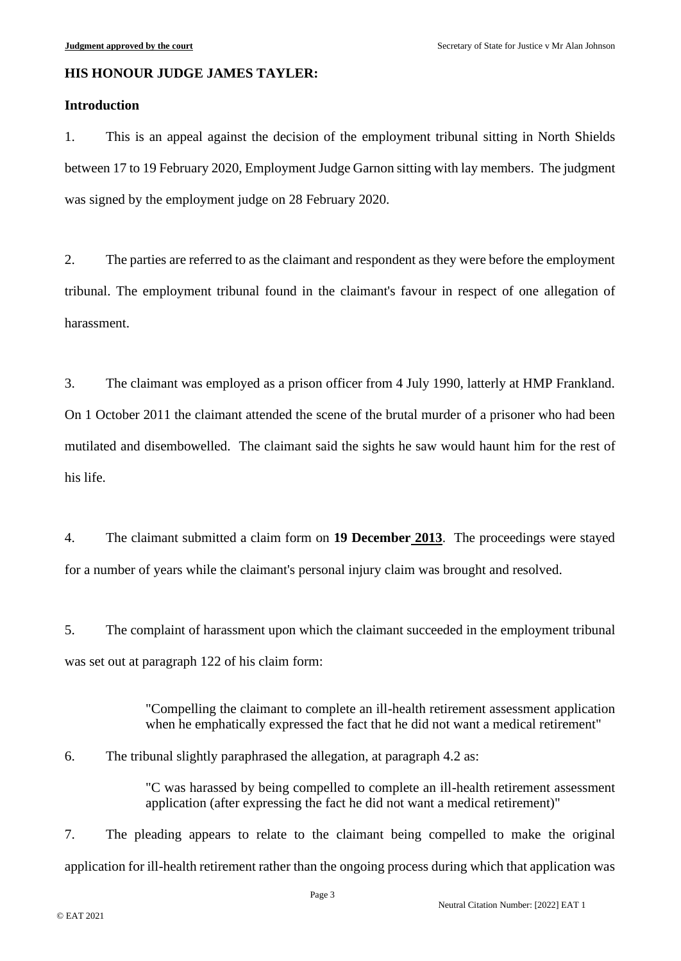#### **HIS HONOUR JUDGE JAMES TAYLER:**

## **Introduction**

1. This is an appeal against the decision of the employment tribunal sitting in North Shields between 17 to 19 February 2020, Employment Judge Garnon sitting with lay members. The judgment was signed by the employment judge on 28 February 2020.

2. The parties are referred to as the claimant and respondent as they were before the employment tribunal. The employment tribunal found in the claimant's favour in respect of one allegation of harassment.

3. The claimant was employed as a prison officer from 4 July 1990, latterly at HMP Frankland. On 1 October 2011 the claimant attended the scene of the brutal murder of a prisoner who had been mutilated and disembowelled. The claimant said the sights he saw would haunt him for the rest of his life.

4. The claimant submitted a claim form on **19 December 2013**. The proceedings were stayed for a number of years while the claimant's personal injury claim was brought and resolved.

5. The complaint of harassment upon which the claimant succeeded in the employment tribunal was set out at paragraph 122 of his claim form:

> "Compelling the claimant to complete an ill-health retirement assessment application when he emphatically expressed the fact that he did not want a medical retirement"

6. The tribunal slightly paraphrased the allegation, at paragraph 4.2 as:

"C was harassed by being compelled to complete an ill-health retirement assessment application (after expressing the fact he did not want a medical retirement)"

7. The pleading appears to relate to the claimant being compelled to make the original application for ill-health retirement rather than the ongoing process during which that application was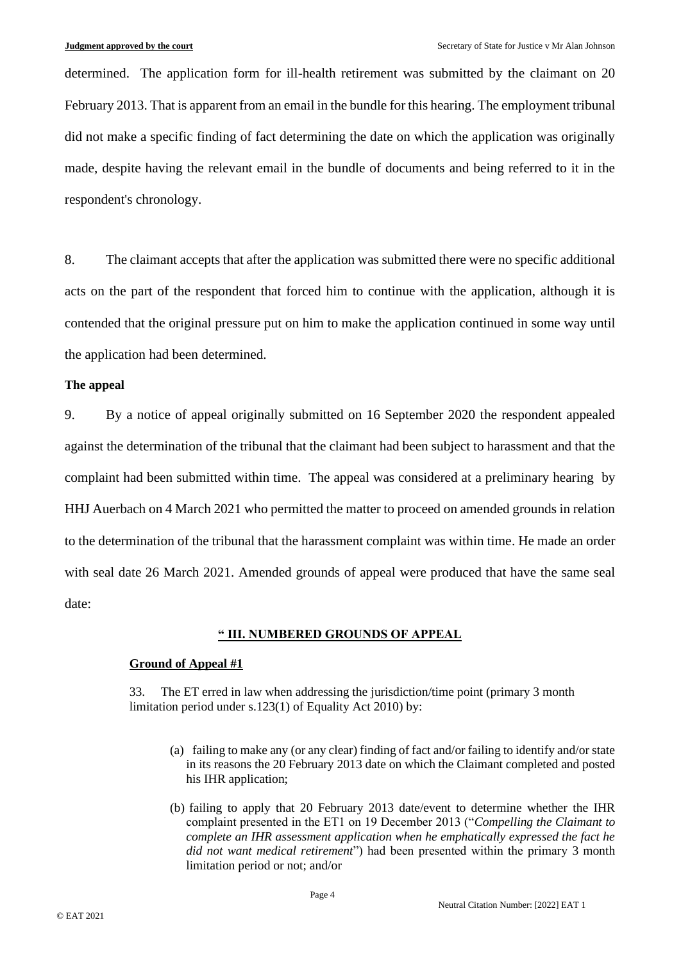determined. The application form for ill-health retirement was submitted by the claimant on 20 February 2013. That is apparent from an email in the bundle for this hearing. The employment tribunal did not make a specific finding of fact determining the date on which the application was originally made, despite having the relevant email in the bundle of documents and being referred to it in the respondent's chronology.

8. The claimant accepts that after the application was submitted there were no specific additional acts on the part of the respondent that forced him to continue with the application, although it is contended that the original pressure put on him to make the application continued in some way until the application had been determined.

#### **The appeal**

9. By a notice of appeal originally submitted on 16 September 2020 the respondent appealed against the determination of the tribunal that the claimant had been subject to harassment and that the complaint had been submitted within time. The appeal was considered at a preliminary hearing by HHJ Auerbach on 4 March 2021 who permitted the matter to proceed on amended grounds in relation to the determination of the tribunal that the harassment complaint was within time. He made an order with seal date 26 March 2021. Amended grounds of appeal were produced that have the same seal date:

# **" III. NUMBERED GROUNDS OF APPEAL**

#### **Ground of Appeal #1**

33. The ET erred in law when addressing the jurisdiction/time point (primary 3 month limitation period under s.123(1) of Equality Act 2010) by:

- (a) failing to make any (or any clear) finding of fact and/or failing to identify and/or state in its reasons the 20 February 2013 date on which the Claimant completed and posted his IHR application;
- (b) failing to apply that 20 February 2013 date/event to determine whether the IHR complaint presented in the ET1 on 19 December 2013 ("*Compelling the Claimant to complete an IHR assessment application when he emphatically expressed the fact he did not want medical retirement*") had been presented within the primary 3 month limitation period or not; and/or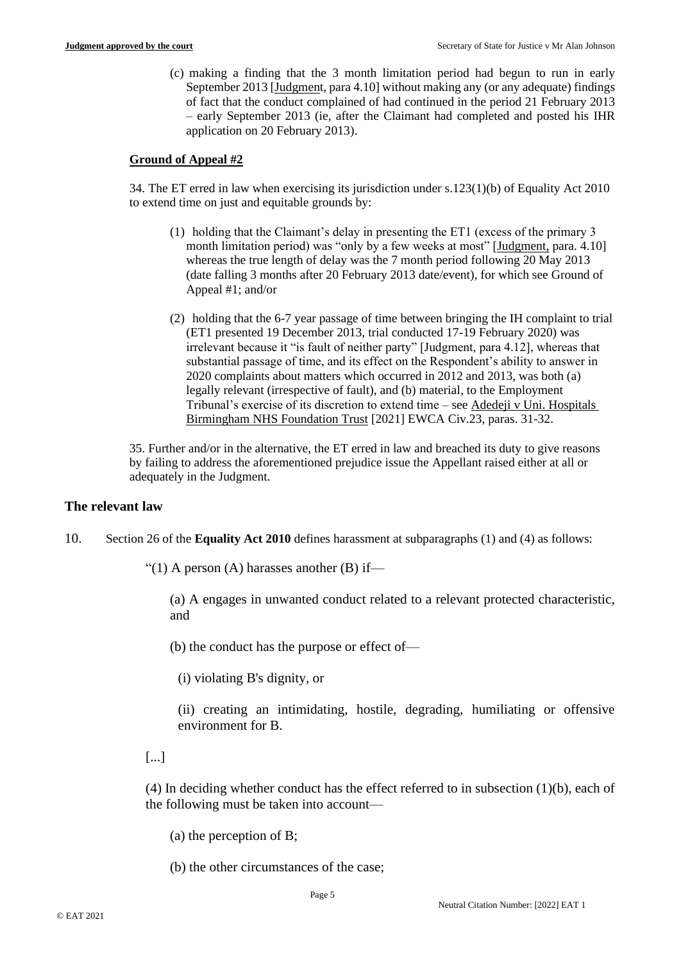(c) making a finding that the 3 month limitation period had begun to run in early September 2013 [Judgment, para 4.10] without making any (or any adequate) findings of fact that the conduct complained of had continued in the period 21 February 2013 – early September 2013 (ie, after the Claimant had completed and posted his IHR application on 20 February 2013).

#### **Ground of Appeal #2**

34. The ET erred in law when exercising its jurisdiction under s.123(1)(b) of Equality Act 2010 to extend time on just and equitable grounds by:

- (1) holding that the Claimant's delay in presenting the ET1 (excess of the primary 3 month limitation period) was "only by a few weeks at most" [Judgment, para. 4.10] whereas the true length of delay was the 7 month period following 20 May 2013 (date falling 3 months after 20 February 2013 date/event), for which see Ground of Appeal #1; and/or
- (2) holding that the 6-7 year passage of time between bringing the IH complaint to trial (ET1 presented 19 December 2013, trial conducted 17-19 February 2020) was irrelevant because it "is fault of neither party" [Judgment, para 4.12], whereas that substantial passage of time, and its effect on the Respondent's ability to answer in 2020 complaints about matters which occurred in 2012 and 2013, was both (a) legally relevant (irrespective of fault), and (b) material, to the Employment Tribunal's exercise of its discretion to extend time – see Adedeji v Uni. Hospitals Birmingham NHS Foundation Trust [2021] EWCA Civ.23, paras. 31-32.

35. Further and/or in the alternative, the ET erred in law and breached its duty to give reasons by failing to address the aforementioned prejudice issue the Appellant raised either at all or adequately in the Judgment.

#### **The relevant law**

10. Section 26 of the **Equality Act 2010** defines harassment at subparagraphs (1) and (4) as follows:

"(1) A person (A) harasses another (B) if—

(a) A engages in unwanted conduct related to a relevant protected characteristic, and

(b) the conduct has the purpose or effect of—

(i) violating B's dignity, or

(ii) creating an intimidating, hostile, degrading, humiliating or offensive environment for B.

[...]

(4) In deciding whether conduct has the effect referred to in subsection (1)(b), each of the following must be taken into account—

(a) the perception of B;

(b) the other circumstances of the case;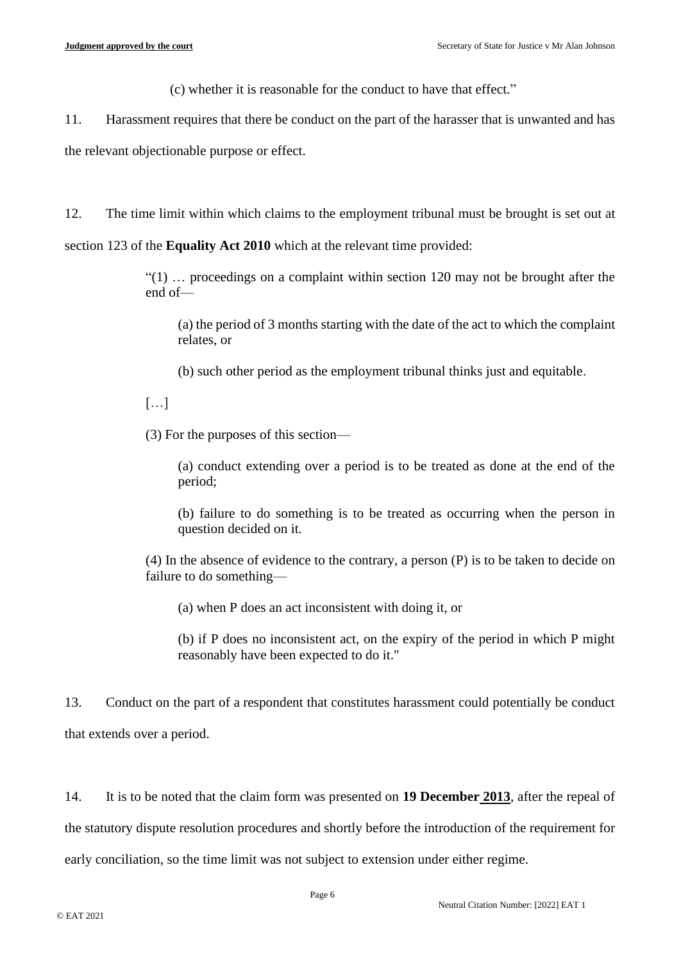(c) whether it is reasonable for the conduct to have that effect."

11. Harassment requires that there be conduct on the part of the harasser that is unwanted and has

the relevant objectionable purpose or effect.

12. The time limit within which claims to the employment tribunal must be brought is set out at

section 123 of the **Equality Act 2010** which at the relevant time provided:

"(1) … proceedings on a complaint within section 120 may not be brought after the end of—

(a) the period of 3 months starting with the date of the act to which the complaint relates, or

(b) such other period as the employment tribunal thinks just and equitable.

[…]

(3) For the purposes of this section—

(a) conduct extending over a period is to be treated as done at the end of the period;

(b) failure to do something is to be treated as occurring when the person in question decided on it.

(4) In the absence of evidence to the contrary, a person (P) is to be taken to decide on failure to do something—

(a) when P does an act inconsistent with doing it, or

(b) if P does no inconsistent act, on the expiry of the period in which P might reasonably have been expected to do it."

13. Conduct on the part of a respondent that constitutes harassment could potentially be conduct that extends over a period.

14. It is to be noted that the claim form was presented on **19 December 2013**, after the repeal of the statutory dispute resolution procedures and shortly before the introduction of the requirement for early conciliation, so the time limit was not subject to extension under either regime.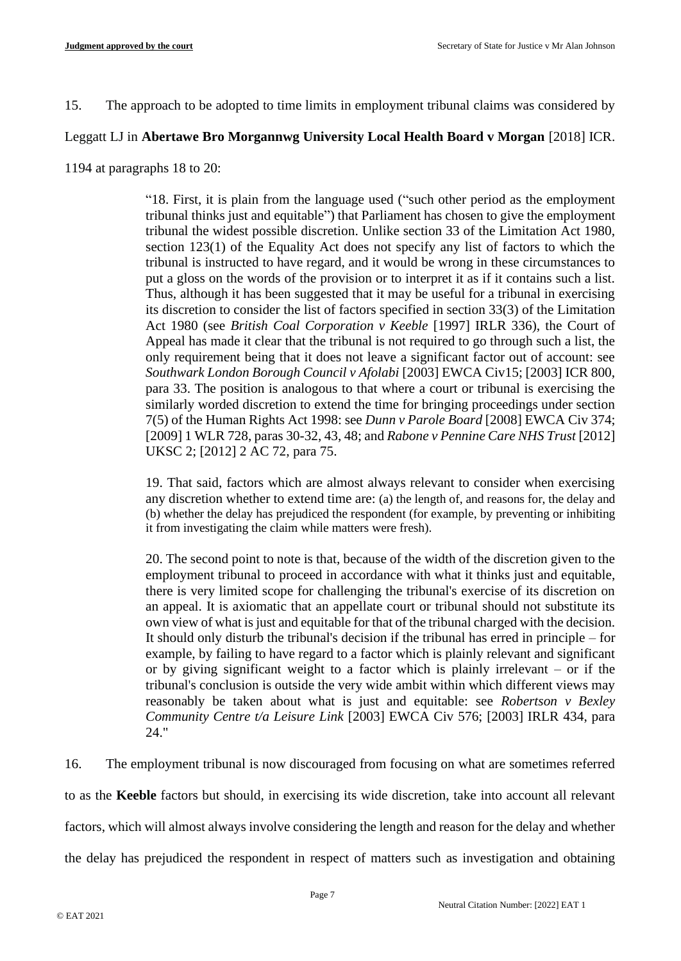15. The approach to be adopted to time limits in employment tribunal claims was considered by

# Leggatt LJ in **Abertawe Bro Morgannwg University Local Health Board v Morgan** [2018] ICR.

1194 at paragraphs 18 to 20:

"18. First, it is plain from the language used ("such other period as the employment tribunal thinks just and equitable") that Parliament has chosen to give the employment tribunal the widest possible discretion. Unlike section 33 of the Limitation Act 1980, section 123(1) of the Equality Act does not specify any list of factors to which the tribunal is instructed to have regard, and it would be wrong in these circumstances to put a gloss on the words of the provision or to interpret it as if it contains such a list. Thus, although it has been suggested that it may be useful for a tribunal in exercising its discretion to consider the list of factors specified in section 33(3) of the Limitation Act 1980 (see *British Coal Corporation v Keeble* [1997] IRLR 336), the Court of Appeal has made it clear that the tribunal is not required to go through such a list, the only requirement being that it does not leave a significant factor out of account: see *Southwark London Borough Council v Afolabi* [2003] EWCA Civ15; [2003] ICR 800, para 33. The position is analogous to that where a court or tribunal is exercising the similarly worded discretion to extend the time for bringing proceedings under section 7(5) of the Human Rights Act 1998: see *Dunn v Parole Board* [2008] EWCA Civ 374; [2009] 1 WLR 728, paras 30-32, 43, 48; and *Rabone v Pennine Care NHS Trust* [2012] UKSC 2; [2012] 2 AC 72, para 75.

19. That said, factors which are almost always relevant to consider when exercising any discretion whether to extend time are: (a) the length of, and reasons for, the delay and (b) whether the delay has prejudiced the respondent (for example, by preventing or inhibiting it from investigating the claim while matters were fresh).

20. The second point to note is that, because of the width of the discretion given to the employment tribunal to proceed in accordance with what it thinks just and equitable, there is very limited scope for challenging the tribunal's exercise of its discretion on an appeal. It is axiomatic that an appellate court or tribunal should not substitute its own view of what is just and equitable for that of the tribunal charged with the decision. It should only disturb the tribunal's decision if the tribunal has erred in principle – for example, by failing to have regard to a factor which is plainly relevant and significant or by giving significant weight to a factor which is plainly irrelevant – or if the tribunal's conclusion is outside the very wide ambit within which different views may reasonably be taken about what is just and equitable: see *Robertson v Bexley Community Centre t/a Leisure Link* [2003] EWCA Civ 576; [2003] IRLR 434, para 24."

16. The employment tribunal is now discouraged from focusing on what are sometimes referred to as the **Keeble** factors but should, in exercising its wide discretion, take into account all relevant factors, which will almost always involve considering the length and reason for the delay and whether

the delay has prejudiced the respondent in respect of matters such as investigation and obtaining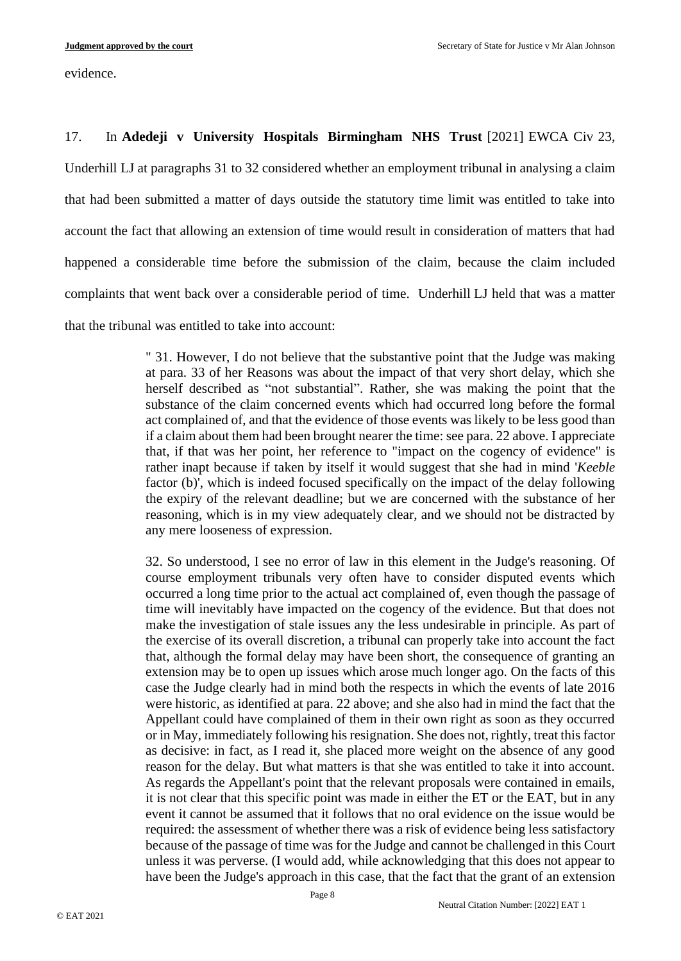evidence.

17. In **Adedeji v University Hospitals Birmingham NHS Trust** [2021] EWCA Civ 23,

Underhill LJ at paragraphs 31 to 32 considered whether an employment tribunal in analysing a claim that had been submitted a matter of days outside the statutory time limit was entitled to take into account the fact that allowing an extension of time would result in consideration of matters that had happened a considerable time before the submission of the claim, because the claim included complaints that went back over a considerable period of time. Underhill LJ held that was a matter that the tribunal was entitled to take into account:

> " 31. However, I do not believe that the substantive point that the Judge was making at para. 33 of her Reasons was about the impact of that very short delay, which she herself described as "not substantial". Rather, she was making the point that the substance of the claim concerned events which had occurred long before the formal act complained of, and that the evidence of those events was likely to be less good than if a claim about them had been brought nearer the time: see para. 22 above. I appreciate that, if that was her point, her reference to "impact on the cogency of evidence" is rather inapt because if taken by itself it would suggest that she had in mind '*Keeble* factor (b)', which is indeed focused specifically on the impact of the delay following the expiry of the relevant deadline; but we are concerned with the substance of her reasoning, which is in my view adequately clear, and we should not be distracted by any mere looseness of expression.

> 32. So understood, I see no error of law in this element in the Judge's reasoning. Of course employment tribunals very often have to consider disputed events which occurred a long time prior to the actual act complained of, even though the passage of time will inevitably have impacted on the cogency of the evidence. But that does not make the investigation of stale issues any the less undesirable in principle. As part of the exercise of its overall discretion, a tribunal can properly take into account the fact that, although the formal delay may have been short, the consequence of granting an extension may be to open up issues which arose much longer ago. On the facts of this case the Judge clearly had in mind both the respects in which the events of late 2016 were historic, as identified at para. 22 above; and she also had in mind the fact that the Appellant could have complained of them in their own right as soon as they occurred or in May, immediately following his resignation. She does not, rightly, treat this factor as decisive: in fact, as I read it, she placed more weight on the absence of any good reason for the delay. But what matters is that she was entitled to take it into account. As regards the Appellant's point that the relevant proposals were contained in emails, it is not clear that this specific point was made in either the ET or the EAT, but in any event it cannot be assumed that it follows that no oral evidence on the issue would be required: the assessment of whether there was a risk of evidence being less satisfactory because of the passage of time was for the Judge and cannot be challenged in this Court unless it was perverse. (I would add, while acknowledging that this does not appear to have been the Judge's approach in this case, that the fact that the grant of an extension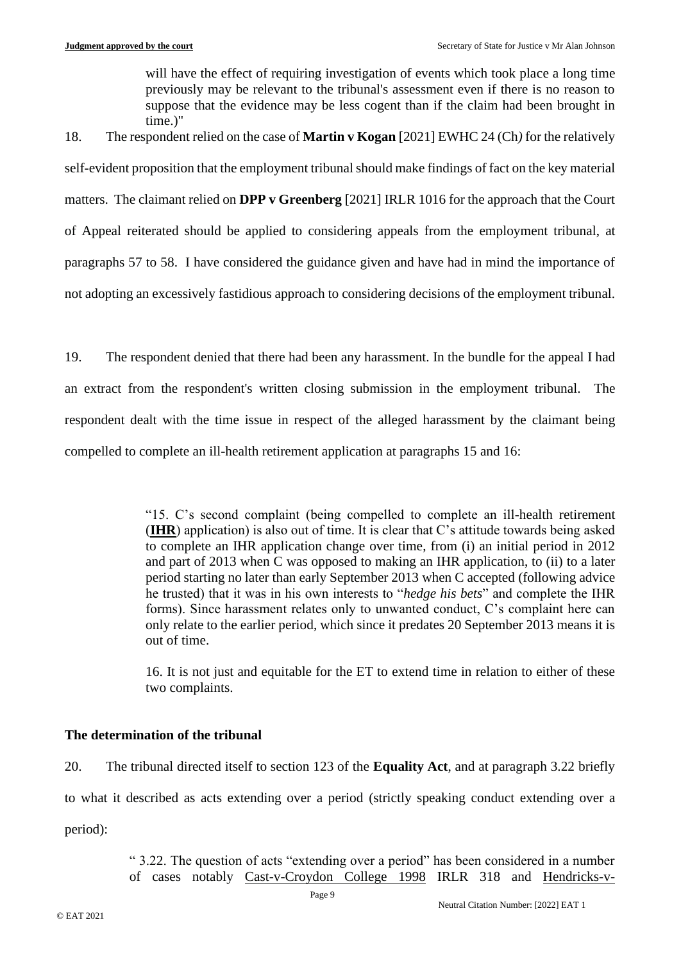will have the effect of requiring investigation of events which took place a long time previously may be relevant to the tribunal's assessment even if there is no reason to suppose that the evidence may be less cogent than if the claim had been brought in time.)"

18. The respondent relied on the case of **Martin v Kogan** [2021] EWHC 24 (Ch*)* for the relatively self-evident proposition that the employment tribunal should make findings of fact on the key material matters. The claimant relied on **DPP v Greenberg** [2021] IRLR 1016 for the approach that the Court of Appeal reiterated should be applied to considering appeals from the employment tribunal, at paragraphs 57 to 58. I have considered the guidance given and have had in mind the importance of not adopting an excessively fastidious approach to considering decisions of the employment tribunal.

19. The respondent denied that there had been any harassment. In the bundle for the appeal I had an extract from the respondent's written closing submission in the employment tribunal. The respondent dealt with the time issue in respect of the alleged harassment by the claimant being compelled to complete an ill-health retirement application at paragraphs 15 and 16:

> "15. C's second complaint (being compelled to complete an ill-health retirement (**IHR**) application) is also out of time. It is clear that C's attitude towards being asked to complete an IHR application change over time, from (i) an initial period in 2012 and part of 2013 when C was opposed to making an IHR application, to (ii) to a later period starting no later than early September 2013 when C accepted (following advice he trusted) that it was in his own interests to "*hedge his bets*" and complete the IHR forms). Since harassment relates only to unwanted conduct, C's complaint here can only relate to the earlier period, which since it predates 20 September 2013 means it is out of time.

> 16. It is not just and equitable for the ET to extend time in relation to either of these two complaints.

# **The determination of the tribunal**

20. The tribunal directed itself to section 123 of the **Equality Act**, and at paragraph 3.22 briefly to what it described as acts extending over a period (strictly speaking conduct extending over a period):

> " 3.22. The question of acts "extending over a period" has been considered in a number of cases notably Cast-v-Croydon College 1998 IRLR 318 and Hendricks-v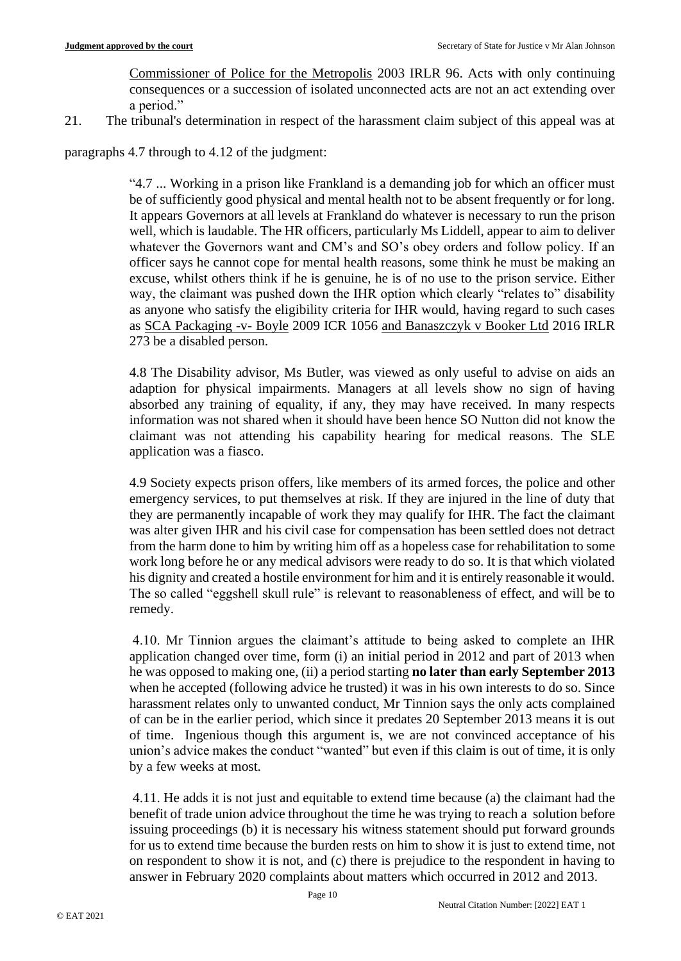Commissioner of Police for the Metropolis 2003 IRLR 96. Acts with only continuing consequences or a succession of isolated unconnected acts are not an act extending over a period."

21. The tribunal's determination in respect of the harassment claim subject of this appeal was at

paragraphs 4.7 through to 4.12 of the judgment:

"4.7 ... Working in a prison like Frankland is a demanding job for which an officer must be of sufficiently good physical and mental health not to be absent frequently or for long. It appears Governors at all levels at Frankland do whatever is necessary to run the prison well, which is laudable. The HR officers, particularly Ms Liddell, appear to aim to deliver whatever the Governors want and CM's and SO's obey orders and follow policy. If an officer says he cannot cope for mental health reasons, some think he must be making an excuse, whilst others think if he is genuine, he is of no use to the prison service. Either way, the claimant was pushed down the IHR option which clearly "relates to" disability as anyone who satisfy the eligibility criteria for IHR would, having regard to such cases as SCA Packaging -v- Boyle 2009 ICR 1056 and Banaszczyk v Booker Ltd 2016 IRLR 273 be a disabled person.

4.8 The Disability advisor, Ms Butler, was viewed as only useful to advise on aids an adaption for physical impairments. Managers at all levels show no sign of having absorbed any training of equality, if any, they may have received. In many respects information was not shared when it should have been hence SO Nutton did not know the claimant was not attending his capability hearing for medical reasons. The SLE application was a fiasco.

4.9 Society expects prison offers, like members of its armed forces, the police and other emergency services, to put themselves at risk. If they are injured in the line of duty that they are permanently incapable of work they may qualify for IHR. The fact the claimant was alter given IHR and his civil case for compensation has been settled does not detract from the harm done to him by writing him off as a hopeless case for rehabilitation to some work long before he or any medical advisors were ready to do so. It is that which violated his dignity and created a hostile environment for him and it is entirely reasonable it would. The so called "eggshell skull rule" is relevant to reasonableness of effect, and will be to remedy.

4.10. Mr Tinnion argues the claimant's attitude to being asked to complete an IHR application changed over time, form (i) an initial period in 2012 and part of 2013 when he was opposed to making one, (ii) a period starting **no later than early September 2013**  when he accepted (following advice he trusted) it was in his own interests to do so. Since harassment relates only to unwanted conduct, Mr Tinnion says the only acts complained of can be in the earlier period, which since it predates 20 September 2013 means it is out of time. Ingenious though this argument is, we are not convinced acceptance of his union's advice makes the conduct "wanted" but even if this claim is out of time, it is only by a few weeks at most.

4.11. He adds it is not just and equitable to extend time because (a) the claimant had the benefit of trade union advice throughout the time he was trying to reach a solution before issuing proceedings (b) it is necessary his witness statement should put forward grounds for us to extend time because the burden rests on him to show it is just to extend time, not on respondent to show it is not, and (c) there is prejudice to the respondent in having to answer in February 2020 complaints about matters which occurred in 2012 and 2013.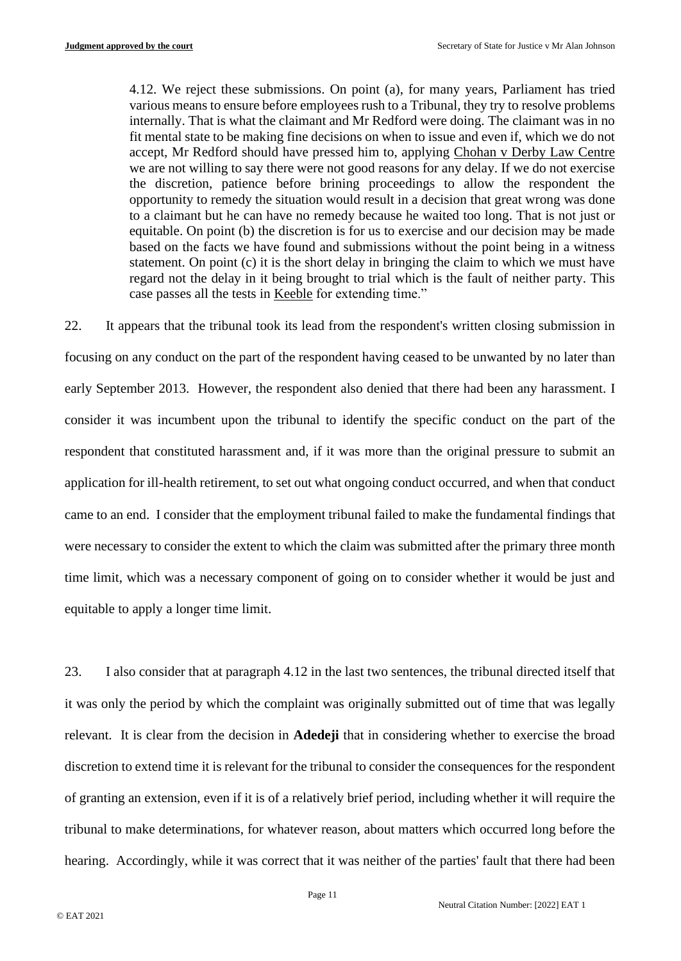4.12. We reject these submissions. On point (a), for many years, Parliament has tried various means to ensure before employees rush to a Tribunal, they try to resolve problems internally. That is what the claimant and Mr Redford were doing. The claimant was in no fit mental state to be making fine decisions on when to issue and even if, which we do not accept, Mr Redford should have pressed him to, applying Chohan v Derby Law Centre we are not willing to say there were not good reasons for any delay. If we do not exercise the discretion, patience before brining proceedings to allow the respondent the opportunity to remedy the situation would result in a decision that great wrong was done to a claimant but he can have no remedy because he waited too long. That is not just or equitable. On point (b) the discretion is for us to exercise and our decision may be made based on the facts we have found and submissions without the point being in a witness statement. On point (c) it is the short delay in bringing the claim to which we must have regard not the delay in it being brought to trial which is the fault of neither party. This case passes all the tests in Keeble for extending time."

22. It appears that the tribunal took its lead from the respondent's written closing submission in focusing on any conduct on the part of the respondent having ceased to be unwanted by no later than early September 2013. However, the respondent also denied that there had been any harassment. I consider it was incumbent upon the tribunal to identify the specific conduct on the part of the respondent that constituted harassment and, if it was more than the original pressure to submit an application for ill-health retirement, to set out what ongoing conduct occurred, and when that conduct came to an end. I consider that the employment tribunal failed to make the fundamental findings that were necessary to consider the extent to which the claim was submitted after the primary three month time limit, which was a necessary component of going on to consider whether it would be just and equitable to apply a longer time limit.

23. I also consider that at paragraph 4.12 in the last two sentences, the tribunal directed itself that it was only the period by which the complaint was originally submitted out of time that was legally relevant. It is clear from the decision in **Adedeji** that in considering whether to exercise the broad discretion to extend time it is relevant for the tribunal to consider the consequences for the respondent of granting an extension, even if it is of a relatively brief period, including whether it will require the tribunal to make determinations, for whatever reason, about matters which occurred long before the hearing. Accordingly, while it was correct that it was neither of the parties' fault that there had been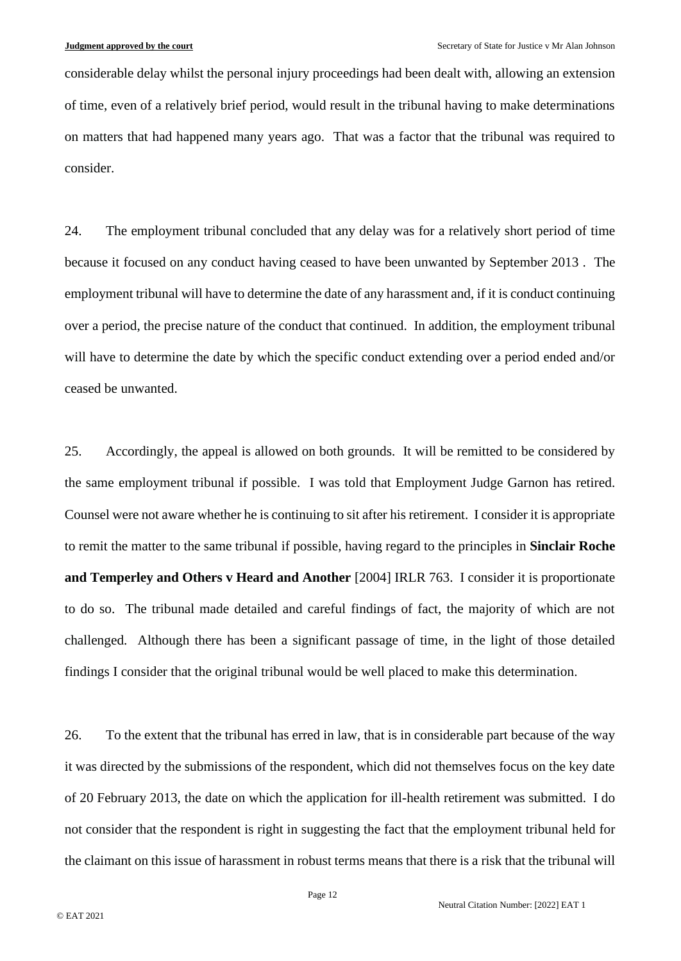considerable delay whilst the personal injury proceedings had been dealt with, allowing an extension of time, even of a relatively brief period, would result in the tribunal having to make determinations on matters that had happened many years ago. That was a factor that the tribunal was required to consider.

24. The employment tribunal concluded that any delay was for a relatively short period of time because it focused on any conduct having ceased to have been unwanted by September 2013 . The employment tribunal will have to determine the date of any harassment and, if it is conduct continuing over a period, the precise nature of the conduct that continued. In addition, the employment tribunal will have to determine the date by which the specific conduct extending over a period ended and/or ceased be unwanted.

25. Accordingly, the appeal is allowed on both grounds. It will be remitted to be considered by the same employment tribunal if possible. I was told that Employment Judge Garnon has retired. Counsel were not aware whether he is continuing to sit after his retirement. I consider it is appropriate to remit the matter to the same tribunal if possible, having regard to the principles in **Sinclair Roche and Temperley and Others v Heard and Another** [2004] IRLR 763. I consider it is proportionate to do so. The tribunal made detailed and careful findings of fact, the majority of which are not challenged. Although there has been a significant passage of time, in the light of those detailed findings I consider that the original tribunal would be well placed to make this determination.

26. To the extent that the tribunal has erred in law, that is in considerable part because of the way it was directed by the submissions of the respondent, which did not themselves focus on the key date of 20 February 2013, the date on which the application for ill-health retirement was submitted. I do not consider that the respondent is right in suggesting the fact that the employment tribunal held for the claimant on this issue of harassment in robust terms means that there is a risk that the tribunal will